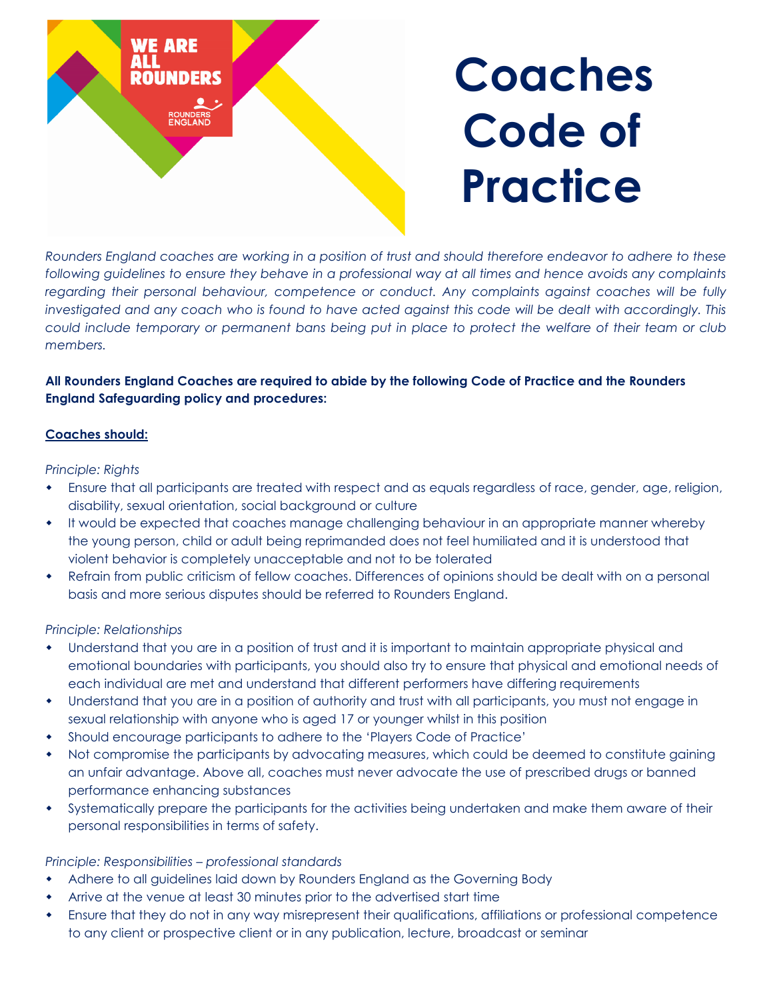

*Rounders England coaches are working in a position of trust and should therefore endeavor to adhere to these*  following guidelines to ensure they behave in a professional way at all times and hence avoids any complaints *regarding their personal behaviour, competence or conduct. Any complaints against coaches will be fully investigated and any coach who is found to have acted against this code will be dealt with accordingly. This could include temporary or permanent bans being put in place to protect the welfare of their team or club members.*

# **All Rounders England Coaches are required to abide by the following Code of Practice and the Rounders England Safeguarding policy and procedures:**

## **Coaches should:**

### *Principle: Rights*

- Ensure that all participants are treated with respect and as equals regardless of race, gender, age, religion, disability, sexual orientation, social background or culture
- It would be expected that coaches manage challenging behaviour in an appropriate manner whereby the young person, child or adult being reprimanded does not feel humiliated and it is understood that violent behavior is completely unacceptable and not to be tolerated
- Refrain from public criticism of fellow coaches. Differences of opinions should be dealt with on a personal basis and more serious disputes should be referred to Rounders England.

### *Principle: Relationships*

- Understand that you are in a position of trust and it is important to maintain appropriate physical and emotional boundaries with participants, you should also try to ensure that physical and emotional needs of each individual are met and understand that different performers have differing requirements
- Understand that you are in a position of authority and trust with all participants, you must not engage in sexual relationship with anyone who is aged 17 or younger whilst in this position
- Should encourage participants to adhere to the 'Players Code of Practice'
- Not compromise the participants by advocating measures, which could be deemed to constitute gaining an unfair advantage. Above all, coaches must never advocate the use of prescribed drugs or banned performance enhancing substances
- Systematically prepare the participants for the activities being undertaken and make them aware of their personal responsibilities in terms of safety.

### *Principle: Responsibilities – professional standards*

- Adhere to all guidelines laid down by Rounders England as the Governing Body
- Arrive at the venue at least 30 minutes prior to the advertised start time
- Ensure that they do not in any way misrepresent their qualifications, affiliations or professional competence to any client or prospective client or in any publication, lecture, broadcast or seminar